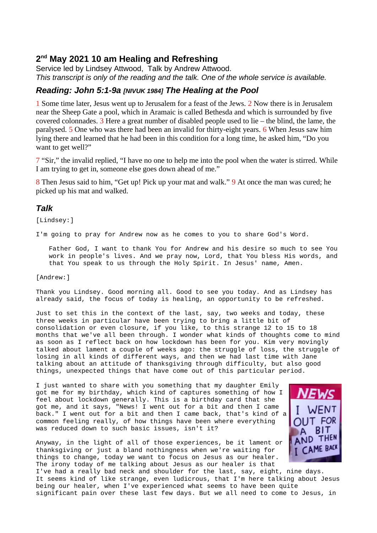# **2 nd May 2021 10 am Healing and Refreshing**

Service led by Lindsey Attwood, Talk by Andrew Attwood. *This transcript is only of the reading and the talk. One of the whole service is available.*

## *Reading: John 5:1-9a [NIVUK 1984] The Healing at the Pool*

1 Some time later, Jesus went up to Jerusalem for a feast of the Jews. 2 Now there is in Jerusalem near the Sheep Gate a pool, which in Aramaic is called Bethesda and which is surrounded by five covered colonnades.  $3$  Here a great number of disabled people used to lie – the blind, the lame, the paralysed. 5 One who was there had been an invalid for thirty-eight years. 6 When Jesus saw him lying there and learned that he had been in this condition for a long time, he asked him, "Do you want to get well?"

7 "Sir," the invalid replied, "I have no one to help me into the pool when the water is stirred. While I am trying to get in, someone else goes down ahead of me."

8 Then Jesus said to him, "Get up! Pick up your mat and walk." 9 At once the man was cured; he picked up his mat and walked.

## *Talk*

[Lindsey:]

I'm going to pray for Andrew now as he comes to you to share God's Word.

Father God, I want to thank You for Andrew and his desire so much to see You work in people's lives. And we pray now, Lord, that You bless His words, and that You speak to us through the Holy Spirit. In Jesus' name, Amen.

### [Andrew:]

Thank you Lindsey. Good morning all. Good to see you today. And as Lindsey has already said, the focus of today is healing, an opportunity to be refreshed.

Just to set this in the context of the last, say, two weeks and today, these three weeks in particular have been trying to bring a little bit of consolidation or even closure, if you like, to this strange 12 to 15 to 18 months that we've all been through. I wonder what kinds of thoughts come to mind as soon as I reflect back on how lockdown has been for you. Kim very movingly talked about lament a couple of weeks ago: the struggle of loss, the struggle of losing in all kinds of different ways, and then we had last time with Jane talking about an attitude of thanksgiving through difficulty, but also good things, unexpected things that have come out of this particular period.

I just wanted to share with you something that my daughter Emily got me for my birthday, which kind of captures something of how I feel about lockdown generally. This is a birthday card that she got me, and it says, "News! I went out for a bit and then I came back." I went out for a bit and then I came back, that's kind of a common feeling really, of how things have been where everything was reduced down to such basic issues, isn't it?

Anyway, in the light of all of those experiences, be it lament or thanksgiving or just a bland nothingness when we're waiting for things to change, today we want to focus on Jesus as our healer. The irony today of me talking about Jesus as our healer is that



I've had a really bad neck and shoulder for the last, say, eight, nine days. It seems kind of like strange, even ludicrous, that I'm here talking about Jesus being our healer, when I've experienced what seems to have been quite significant pain over these last few days. But we all need to come to Jesus, in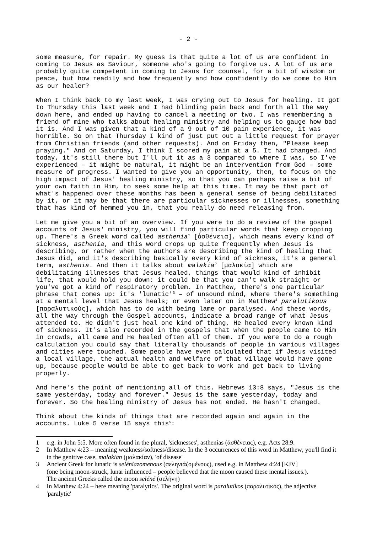some measure, for repair. My guess is that quite a lot of us are confident in coming to Jesus as Saviour, someone who's going to forgive us. A lot of us are probably quite competent in coming to Jesus for counsel, for a bit of wisdom or peace, but how readily and how frequently and how confidently do we come to Him as our healer?

When I think back to my last week, I was crying out to Jesus for healing. It got to Thursday this last week and I had blinding pain back and forth all the way down here, and ended up having to cancel a meeting or two. I was remembering a friend of mine who talks about healing ministry and helping us to gauge how bad it is. And I was given that a kind of a 9 out of 10 pain experience, it was horrible. So on that Thursday I kind of just put out a little request for prayer from Christian friends (and other requests). And on Friday then, "Please keep praying." And on Saturday, I think I scored my pain at a 5. It had changed. And today, it's still there but I'll put it as a 3 compared to where I was, so I've experienced – it might be natural, it might be an intervention from God – some measure of progress. I wanted to give you an opportunity, then, to focus on the high impact of Jesus' healing ministry, so that you can perhaps raise a bit of your own faith in Him, to seek some help at this time. It may be that part of what's happened over these months has been a general sense of being debilitated by it, or it may be that there are particular sicknesses or illnesses, something that has kind of hemmed you in, that you really do need releasing from.

Let me give you a bit of an overview. If you were to do a review of the gospel accounts of Jesus' ministry, you will find particular words that keep cropping up. There's a Greek word called *asthenia[1](#page-1-0)* [ἀσθένεια], which means every kind of sickness, *asthenia*, and this word crops up quite frequently when Jesus is describing, or rather when the authors are describing the kind of healing that Jesus did, and it's describing basically every kind of sickness, it's a general term, *asthenia*. And then it talks about *malakia[2](#page-1-1)* [μαλακία] which are debilitating illnesses that Jesus healed, things that would kind of inhibit life, that would hold you down: it could be that you can't walk straight or you've got a kind of respiratory problem. In Matthew, there's one particular phrase that comes up: it's 'lunatic' [3](#page-1-2) – of unsound mind, where there's something at a mental level that Jesus heals; or even later on in Matthew[4](#page-1-3) *paralutikous*  [παραλυτικούς], which has to do with being lame or paralysed. And these words, all the way through the Gospel accounts, indicate a broad range of what Jesus attended to. He didn't just heal one kind of thing, He healed every known kind of sickness. It's also recorded in the gospels that when the people came to Him in crowds, all came and He healed often all of them. If you were to do a rough calculation you could say that literally thousands of people in various villages and cities were touched. Some people have even calculated that if Jesus visited a local village, the actual health and welfare of that village would have gone up, because people would be able to get back to work and get back to living properly.

And here's the point of mentioning all of this. Hebrews 13:8 says, "Jesus is the same yesterday, today and forever." Jesus is the same yesterday, today and forever. So the healing ministry of Jesus has not ended. He hasn't changed.

Think about the kinds of things that are recorded again and again in the accounts. Luke 5 verse 15 says this<sup>5</sup>:

<span id="page-1-0"></span><sup>1</sup> e.g. in John 5:5. More often found in the plural, 'sicknesses', asthenias (ἀσθένειας), e.g. Acts 28:9.

<span id="page-1-1"></span><sup>2</sup> In Matthew 4:23 – meaning weakness/softness/disease. In the 3 occurrences of this word in Matthew, you'll find it in the genitive case, *malakian* (μαλακίαν), 'of disease'

<span id="page-1-2"></span><sup>3</sup> Ancient Greek for lunatic is *seléniazomenous* (σεληνιάζομένους), used e.g. in Matthew 4:24 [KJV] (one being moon-struck, lunar influenced – people believed that the moon caused these mental issues.). The ancient Greeks called the moon *seléné* (σελήνη)

<span id="page-1-3"></span><sup>4</sup> In Matthew 4:24 – here meaning 'paralytics'. The original word is *paralutikos* (παραλυτικός), the adjective 'paralytic'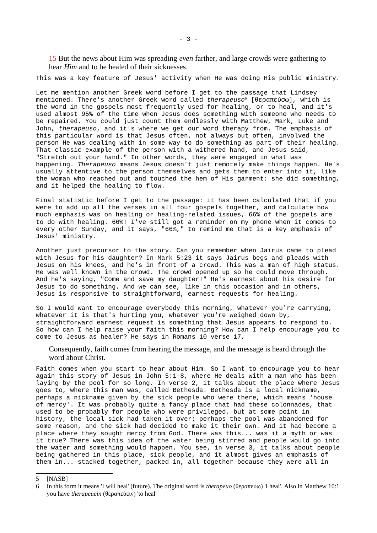15 But the news about Him was spreading *even* farther, and large crowds were gathering to hear *Him* and to be healed of their sicknesses.

This was a key feature of Jesus' activity when He was doing His public ministry.

Let me mention another Greek word before I get to the passage that Lindsey mentioned. There's another Greek word called *therapeuso[6](#page-2-0)* [θεραπεύσω], which is the word in the gospels most frequently used for healing, or to heal, and it's used almost 95% of the time when Jesus does something with someone who needs to be repaired. You could just count them endlessly with Matthew, Mark, Luke and John, *therapeuso*, and it's where we get our word therapy from. The emphasis of this particular word is that Jesus often, not always but often, involved the person He was dealing with in some way to do something as part of their healing. That classic example of the person with a withered hand, and Jesus said, "Stretch out your hand." In other words, they were engaged in what was happening. *Therapeuso* means Jesus doesn't just remotely make things happen. He's usually attentive to the person themselves and gets them to enter into it, like the woman who reached out and touched the hem of His garment: she did something, and it helped the healing to flow.

Final statistic before I get to the passage: it has been calculated that if you were to add up all the verses in all four gospels together, and calculate how much emphasis was on healing or healing-related issues, 66% of the gospels are to do with healing. 66%! I've still got a reminder on my phone when it comes to every other Sunday, and it says, "66%," to remind me that is a key emphasis of Jesus' ministry.

Another just precursor to the story. Can you remember when Jairus came to plead with Jesus for his daughter? In Mark 5:23 it says Jairus begs and pleads with Jesus on his knees, and he's in front of a crowd. This was a man of high status. He was well known in the crowd. The crowd opened up so he could move through. And he's saying, "Come and save my daughter!" He's earnest about his desire for Jesus to do something. And we can see, like in this occasion and in others, Jesus is responsive to straightforward, earnest requests for healing.

So I would want to encourage everybody this morning, whatever you're carrying, whatever it is that's hurting you, whatever you're weighed down by, straightforward earnest request is something that Jesus appears to respond to. So how can I help raise your faith this morning? How can I help encourage you to come to Jesus as healer? He says in Romans 10 verse 17,

Consequently, faith comes from hearing the message, and the message is heard through the word about Christ.

Faith comes when you start to hear about Him. So I want to encourage you to hear again this story of Jesus in John 5:1-8, where He deals with a man who has been laying by the pool for so long. In verse 2, it talks about the place where Jesus goes to, where this man was, called Bethesda. Bethesda is a local nickname, perhaps a nickname given by the sick people who were there, which means 'house of mercy'. It was probably quite a fancy place that had these colonnades, that used to be probably for people who were privileged, but at some point in history, the local sick had taken it over; perhaps the pool was abandoned for some reason, and the sick had decided to make it their own. And it had become a place where they sought mercy from God. There was this... was it a myth or was it true? There was this idea of the water being stirred and people would go into the water and something would happen. You see, in verse 3, it talks about people being gathered in this place, sick people, and it almost gives an emphasis of them in... stacked together, packed in, all together because they were all in

- 3 -

<sup>5</sup> [NASB]

<span id="page-2-0"></span><sup>6</sup> In this form it means 'I will heal' (future). The original word is *therapeuo* (θεραπεύω) 'I heal'. Also in Matthew 10:1 you have *therapeuein* (θεραπεύειν) 'to heal'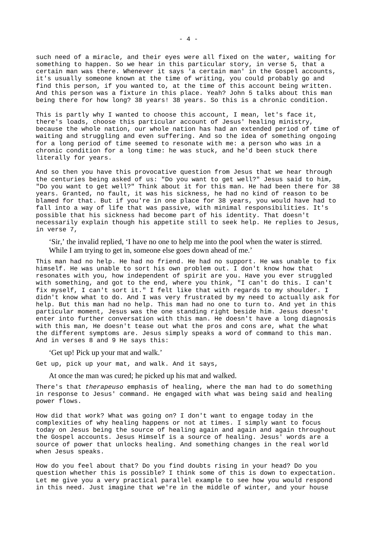such need of a miracle, and their eyes were all fixed on the water, waiting for something to happen. So we hear in this particular story, in verse 5, that a certain man was there. Whenever it says 'a certain man' in the Gospel accounts, it's usually someone known at the time of writing, you could probably go and find this person, if you wanted to, at the time of this account being written. And this person was a fixture in this place. Yeah? John 5 talks about this man being there for how long? 38 years! 38 years. So this is a chronic condition.

This is partly why I wanted to choose this account, I mean, let's face it, there's loads, choose this particular account of Jesus' healing ministry, because the whole nation, our whole nation has had an extended period of time of waiting and struggling and even suffering. And so the idea of something ongoing for a long period of time seemed to resonate with me: a person who was in a chronic condition for a long time: he was stuck, and he'd been stuck there literally for years.

And so then you have this provocative question from Jesus that we hear through the centuries being asked of us: "Do you want to get well?" Jesus said to him, "Do you want to get well?" Think about it for this man. He had been there for 38 years. Granted, no fault, it was his sickness, he had no kind of reason to be blamed for that. But if you're in one place for 38 years, you would have had to fall into a way of life that was passive, with minimal responsibilities. It's possible that his sickness had become part of his identity. That doesn't necessarily explain though his appetite still to seek help. He replies to Jesus, in verse 7,

'Sir,' the invalid replied, 'I have no one to help me into the pool when the water is stirred.

While I am trying to get in, someone else goes down ahead of me.'

This man had no help. He had no friend. He had no support. He was unable to fix himself. He was unable to sort his own problem out. I don't know how that resonates with you, how independent of spirit are you. Have you ever struggled with something, and got to the end, where you think, "I can't do this. I can't fix myself, I can't sort it." I felt like that with regards to my shoulder. I didn't know what to do. And I was very frustrated by my need to actually ask for help. But this man had no help. This man had no one to turn to. And yet in this particular moment, Jesus was the one standing right beside him. Jesus doesn't enter into further conversation with this man. He doesn't have a long diagnosis with this man, He doesn't tease out what the pros and cons are, what the what the different symptoms are. Jesus simply speaks a word of command to this man. And in verses 8 and 9 He says this:

'Get up! Pick up your mat and walk.'

Get up, pick up your mat, and walk. And it says,

At once the man was cured; he picked up his mat and walked.

There's that *therapeuso* emphasis of healing, where the man had to do something in response to Jesus' command. He engaged with what was being said and healing power flows.

How did that work? What was going on? I don't want to engage today in the complexities of why healing happens or not at times. I simply want to focus today on Jesus being the source of healing again and again and again throughout the Gospel accounts. Jesus Himself is a source of healing. Jesus' words are a source of power that unlocks healing. And something changes in the real world when Jesus speaks.

How do you feel about that? Do you find doubts rising in your head? Do you question whether this is possible? I think some of this is down to expectation. Let me give you a very practical parallel example to see how you would respond in this need. Just imagine that we're in the middle of winter, and your house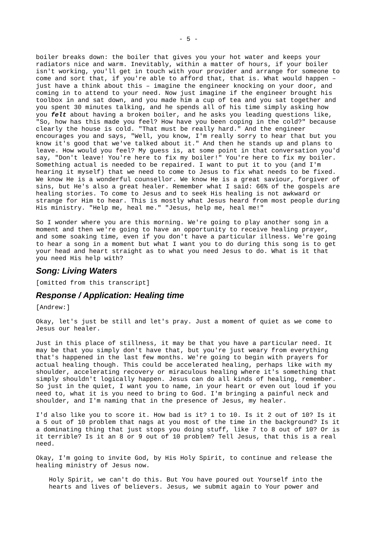boiler breaks down: the boiler that gives you your hot water and keeps your radiators nice and warm. Inevitably, within a matter of hours, if your boiler isn't working, you'll get in touch with your provider and arrange for someone to come and sort that, if you're able to afford that, that is. What would happen – just have a think about this – imagine the engineer knocking on your door, and coming in to attend to your need. Now just imagine if the engineer brought his toolbox in and sat down, and you made him a cup of tea and you sat together and you spent 30 minutes talking, and he spends all of his time simply asking how you *felt* about having a broken boiler, and he asks you leading questions like, "So, how has this made you feel? How have you been coping in the cold?" because clearly the house is cold. "That must be really hard." And the engineer encourages you and says, "Well, you know, I'm really sorry to hear that but you know it's good that we've talked about it." And then he stands up and plans to leave. How would you feel? My guess is, at some point in that conversation you'd say, "Don't leave! You're here to fix my boiler!" You're here to fix my boiler. Something actual is needed to be repaired. I want to put it to you (and I'm hearing it myself) that we need to come to Jesus to fix what needs to be fixed. We know He is a wonderful counsellor. We know He is a great saviour, forgiver of sins, but He's also a great healer. Remember what I said: 66% of the gospels are healing stories. To come to Jesus and to seek His healing is not awkward or strange for Him to hear. This is mostly what Jesus heard from most people during His ministry. "Help me, heal me." "Jesus, help me, heal me!"

So I wonder where you are this morning. We're going to play another song in a moment and then we're going to have an opportunity to receive healing prayer, and some soaking time, even if you don't have a particular illness. We're going to hear a song in a moment but what I want you to do during this song is to get your head and heart straight as to what you need Jesus to do. What is it that you need His help with?

### *Song: Living Waters*

[omitted from this transcript]

#### *Response / Application: Healing time*

[Andrew:]

Okay, let's just be still and let's pray. Just a moment of quiet as we come to Jesus our healer.

Just in this place of stillness, it may be that you have a particular need. It may be that you simply don't have that, but you're just weary from everything that's happened in the last few months. We're going to begin with prayers for actual healing though. This could be accelerated healing, perhaps like with my shoulder, accelerating recovery or miraculous healing where it's something that simply shouldn't logically happen. Jesus can do all kinds of healing, remember. So just in the quiet, I want you to name, in your heart or even out loud if you need to, what it is you need to bring to God. I'm bringing a painful neck and shoulder, and I'm naming that in the presence of Jesus, my healer.

I'd also like you to score it. How bad is it? 1 to 10. Is it 2 out of 10? Is it a 5 out of 10 problem that nags at you most of the time in the background? Is it a dominating thing that just stops you doing stuff, like 7 to 8 out of 10? Or is it terrible? Is it an 8 or 9 out of 10 problem? Tell Jesus, that this is a real need.

Okay, I'm going to invite God, by His Holy Spirit, to continue and release the healing ministry of Jesus now.

Holy Spirit, we can't do this. But You have poured out Yourself into the hearts and lives of believers. Jesus, we submit again to Your power and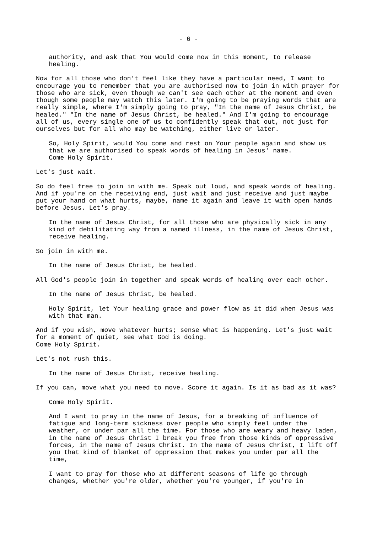authority, and ask that You would come now in this moment, to release healing.

Now for all those who don't feel like they have a particular need, I want to encourage you to remember that you are authorised now to join in with prayer for those who are sick, even though we can't see each other at the moment and even though some people may watch this later. I'm going to be praying words that are really simple, where I'm simply going to pray, "In the name of Jesus Christ, be healed." "In the name of Jesus Christ, be healed." And I'm going to encourage all of us, every single one of us to confidently speak that out, not just for ourselves but for all who may be watching, either live or later.

So, Holy Spirit, would You come and rest on Your people again and show us that we are authorised to speak words of healing in Jesus' name. Come Holy Spirit.

Let's just wait.

So do feel free to join in with me. Speak out loud, and speak words of healing. And if you're on the receiving end, just wait and just receive and just maybe put your hand on what hurts, maybe, name it again and leave it with open hands before Jesus. Let's pray.

In the name of Jesus Christ, for all those who are physically sick in any kind of debilitating way from a named illness, in the name of Jesus Christ, receive healing.

So join in with me.

In the name of Jesus Christ, be healed.

All God's people join in together and speak words of healing over each other.

In the name of Jesus Christ, be healed.

Holy Spirit, let Your healing grace and power flow as it did when Jesus was with that man.

And if you wish, move whatever hurts; sense what is happening. Let's just wait for a moment of quiet, see what God is doing. Come Holy Spirit.

Let's not rush this.

In the name of Jesus Christ, receive healing.

If you can, move what you need to move. Score it again. Is it as bad as it was?

Come Holy Spirit.

And I want to pray in the name of Jesus, for a breaking of influence of fatigue and long-term sickness over people who simply feel under the weather, or under par all the time. For those who are weary and heavy laden, in the name of Jesus Christ I break you free from those kinds of oppressive forces, in the name of Jesus Christ. In the name of Jesus Christ, I lift off you that kind of blanket of oppression that makes you under par all the time,

I want to pray for those who at different seasons of life go through changes, whether you're older, whether you're younger, if you're in